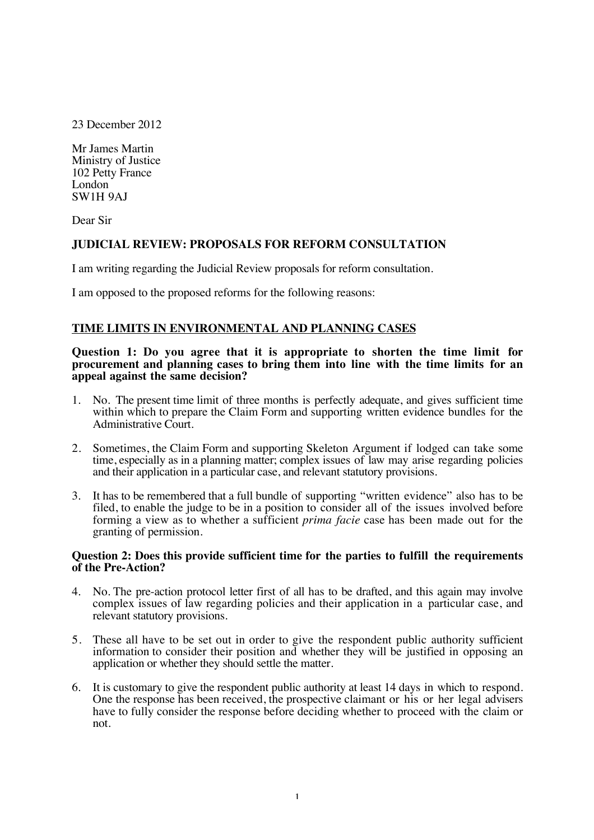23 December 2012

Mr James Martin Ministry of Justice 102 Petty France London SW1H 9AJ

Dear Sir

# **JUDICIAL REVIEW: PROPOSALS FOR REFORM CONSULTATION**

I am writing regarding the Judicial Review proposals for reform consultation.

I am opposed to the proposed reforms for the following reasons:

# **TIME LIMITS IN ENVIRONMENTAL AND PLANNING CASES**

#### **Question 1: Do you agree that it is appropriate to shorten the time limit for procurement and planning cases to bring them into line with the time limits for an appeal against the same decision?**

- 1. No. The present time limit of three months is perfectly adequate, and gives sufficient time within which to prepare the Claim Form and supporting written evidence bundles for the Administrative Court.
- 2. Sometimes, the Claim Form and supporting Skeleton Argument if lodged can take some time, especially as in a planning matter; complex issues of law may arise regarding policies and their application in a particular case, and relevant statutory provisions.
- 3. It has to be remembered that a full bundle of supporting "written evidence" also has to be filed, to enable the judge to be in a position to consider all of the issues involved before forming a view as to whether a sufficient *prima facie* case has been made out for the granting of permission.

## **Question 2: Does this provide sufficient time for the parties to fulfill the requirements of the Pre-Action?**

- 4. No. The pre-action protocol letter first of all has to be drafted, and this again may involve complex issues of law regarding policies and their application in a particular case, and relevant statutory provisions.
- 5. These all have to be set out in order to give the respondent public authority sufficient information to consider their position and whether they will be justified in opposing an application or whether they should settle the matter.
- 6. It is customary to give the respondent public authority at least 14 days in which to respond. One the response has been received, the prospective claimant or his or her legal advisers have to fully consider the response before deciding whether to proceed with the claim or not.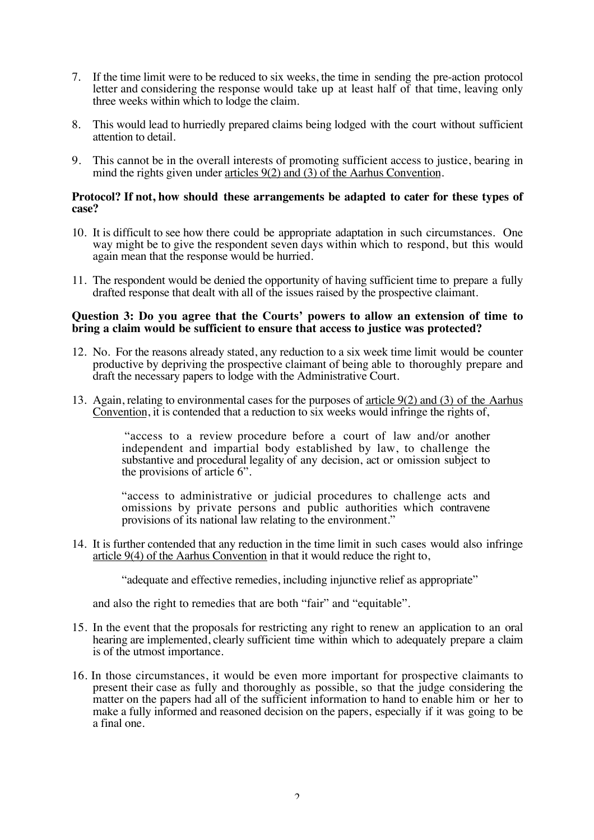- 7. If the time limit were to be reduced to six weeks, the time in sending the pre-action protocol letter and considering the response would take up at least half of that time, leaving only three weeks within which to lodge the claim.
- 8. This would lead to hurriedly prepared claims being lodged with the court without sufficient attention to detail.
- 9. This cannot be in the overall interests of promoting sufficient access to justice, bearing in mind the rights given under articles 9(2) and (3) of the Aarhus Convention.

#### **Protocol? If not, how should these arrangements be adapted to cater for these types of case?**

- 10. It is difficult to see how there could be appropriate adaptation in such circumstances. One way might be to give the respondent seven days within which to respond, but this would again mean that the response would be hurried.
- 11. The respondent would be denied the opportunity of having sufficient time to prepare a fully drafted response that dealt with all of the issues raised by the prospective claimant.

#### **Question 3: Do you agree that the Courts' powers to allow an extension of time to bring a claim would be sufficient to ensure that access to justice was protected?**

- 12. No. For the reasons already stated, any reduction to a six week time limit would be counter productive by depriving the prospective claimant of being able to thoroughly prepare and draft the necessary papers to lodge with the Administrative Court.
- 13. Again, relating to environmental cases for the purposes of article 9(2) and (3) of the Aarhus Convention, it is contended that a reduction to six weeks would infringe the rights of,

"access to a review procedure before a court of law and/or another independent and impartial body established by law, to challenge the substantive and procedural legality of any decision, act or omission subject to the provisions of article 6".

"access to administrative or judicial procedures to challenge acts and omissions by private persons and public authorities which contravene provisions of its national law relating to the environment."

14. It is further contended that any reduction in the time limit in such cases would also infringe article 9(4) of the Aarhus Convention in that it would reduce the right to,

"adequate and effective remedies, including injunctive relief as appropriate"

and also the right to remedies that are both "fair" and "equitable".

- 15. In the event that the proposals for restricting any right to renew an application to an oral hearing are implemented, clearly sufficient time within which to adequately prepare a claim is of the utmost importance.
- 16. In those circumstances, it would be even more important for prospective claimants to present their case as fully and thoroughly as possible, so that the judge considering the matter on the papers had all of the sufficient information to hand to enable him or her to make a fully informed and reasoned decision on the papers, especially if it was going to be a final one.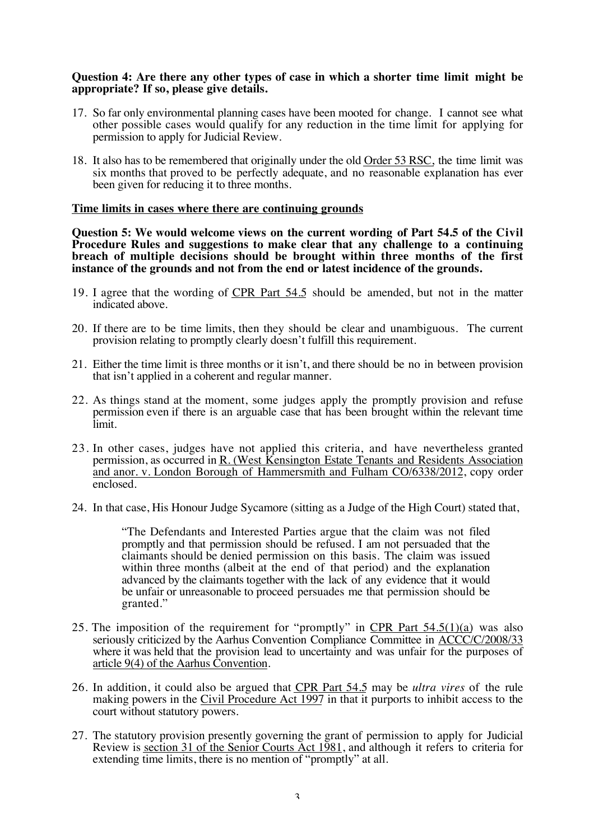## **Question 4: Are there any other types of case in which a shorter time limit might be appropriate? If so, please give details.**

- 17. So far only environmental planning cases have been mooted for change. I cannot see what other possible cases would qualify for any reduction in the time limit for applying for permission to apply for Judicial Review.
- 18. It also has to be remembered that originally under the old Order 53 RSC, the time limit was six months that proved to be perfectly adequate, and no reasonable explanation has ever been given for reducing it to three months.

#### **Time limits in cases where there are continuing grounds**

**Question 5: We would welcome views on the current wording of Part 54.5 of the Civil Procedure Rules and suggestions to make clear that any challenge to a continuing breach of multiple decisions should be brought within three months of the first instance of the grounds and not from the end or latest incidence of the grounds.**

- 19. I agree that the wording of CPR Part 54.5 should be amended, but not in the matter indicated above.
- 20. If there are to be time limits, then they should be clear and unambiguous. The current provision relating to promptly clearly doesn't fulfill this requirement.
- 21. Either the time limit is three months or it isn't, and there should be no in between provision that isn't applied in a coherent and regular manner.
- 22. As things stand at the moment, some judges apply the promptly provision and refuse permission even if there is an arguable case that has been brought within the relevant time limit.
- 23. In other cases, judges have not applied this criteria, and have nevertheless granted permission, as occurred in R. (West Kensington Estate Tenants and Residents Association and anor. v. London Borough of Hammersmith and Fulham CO/6338/2012, copy order enclosed.
- 24. In that case, His Honour Judge Sycamore (sitting as a Judge of the High Court) stated that,

"The Defendants and Interested Parties argue that the claim was not filed promptly and that permission should be refused. I am not persuaded that the claimants should be denied permission on this basis. The claim was issued within three months (albeit at the end of that period) and the explanation advanced by the claimants together with the lack of any evidence that it would be unfair or unreasonable to proceed persuades me that permission should be granted."

- 25. The imposition of the requirement for "promptly" in CPR Part  $54.5(1)(a)$  was also seriously criticized by the Aarhus Convention Compliance Committee in ACCC/C/2008/33 where it was held that the provision lead to uncertainty and was unfair for the purposes of article 9(4) of the Aarhus Convention.
- 26. In addition, it could also be argued that CPR Part 54.5 may be *ultra vires* of the rule making powers in the Civil Procedure Act 1997 in that it purports to inhibit access to the court without statutory powers.
- 27. The statutory provision presently governing the grant of permission to apply for Judicial Review is section 31 of the Senior Courts Act 1981, and although it refers to criteria for extending time limits, there is no mention of "promptly" at all.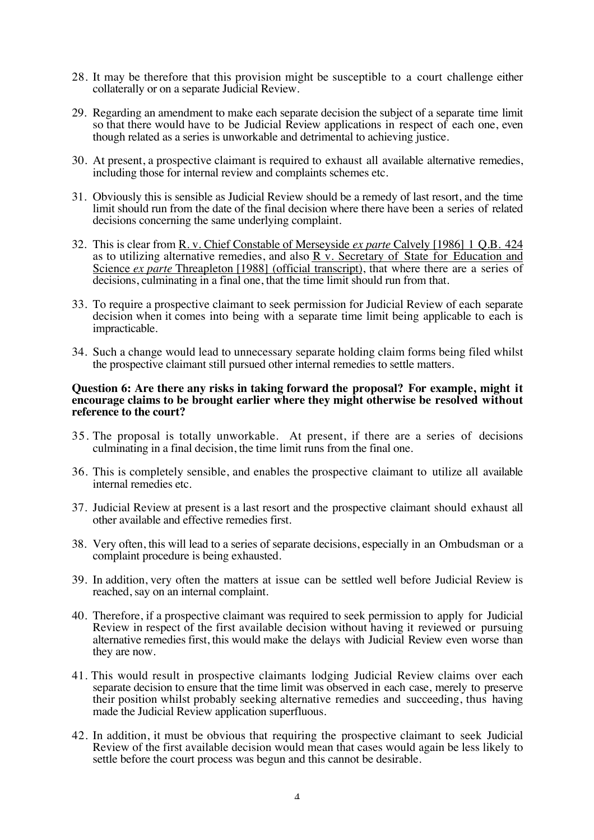- 28. It may be therefore that this provision might be susceptible to a court challenge either collaterally or on a separate Judicial Review.
- 29. Regarding an amendment to make each separate decision the subject of a separate time limit so that there would have to be Judicial Review applications in respect of each one, even though related as a series is unworkable and detrimental to achieving justice.
- 30. At present, a prospective claimant is required to exhaust all available alternative remedies, including those for internal review and complaints schemes etc.
- 31. Obviously this is sensible as Judicial Review should be a remedy of last resort, and the time limit should run from the date of the final decision where there have been a series of related decisions concerning the same underlying complaint.
- 32. This is clear from R. v. Chief Constable of Merseyside *ex parte* Calvely [1986] 1 Q.B. 424 as to utilizing alternative remedies, and also R v. Secretary of State for Education and Science *ex parte* Threapleton [1988] (official transcript), that where there are a series of decisions, culminating in a final one, that the time limit should run from that.
- 33. To require a prospective claimant to seek permission for Judicial Review of each separate decision when it comes into being with a separate time limit being applicable to each is impracticable.
- 34. Such a change would lead to unnecessary separate holding claim forms being filed whilst the prospective claimant still pursued other internal remedies to settle matters.

#### **Question 6: Are there any risks in taking forward the proposal? For example, might it encourage claims to be brought earlier where they might otherwise be resolved without reference to the court?**

- 35. The proposal is totally unworkable. At present, if there are a series of decisions culminating in a final decision, the time limit runs from the final one.
- 36. This is completely sensible, and enables the prospective claimant to utilize all available internal remedies etc.
- 37. Judicial Review at present is a last resort and the prospective claimant should exhaust all other available and effective remedies first.
- 38. Very often, this will lead to a series of separate decisions, especially in an Ombudsman or a complaint procedure is being exhausted.
- 39. In addition, very often the matters at issue can be settled well before Judicial Review is reached, say on an internal complaint.
- 40. Therefore, if a prospective claimant was required to seek permission to apply for Judicial Review in respect of the first available decision without having it reviewed or pursuing alternative remedies first, this would make the delays with Judicial Review even worse than they are now.
- 41. This would result in prospective claimants lodging Judicial Review claims over each separate decision to ensure that the time limit was observed in each case, merely to preserve their position whilst probably seeking alternative remedies and succeeding, thus having made the Judicial Review application superfluous.
- 42. In addition, it must be obvious that requiring the prospective claimant to seek Judicial Review of the first available decision would mean that cases would again be less likely to settle before the court process was begun and this cannot be desirable.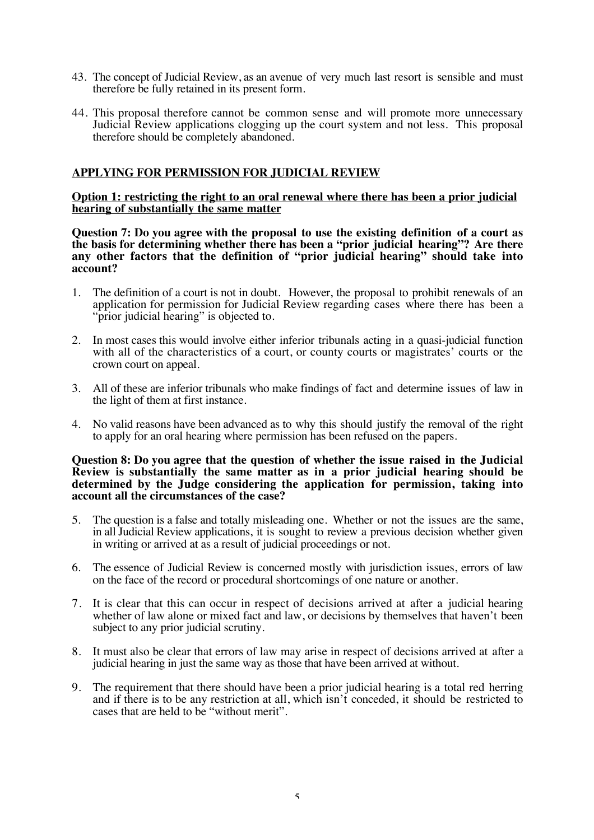- 43. The concept of Judicial Review, as an avenue of very much last resort is sensible and must therefore be fully retained in its present form.
- 44. This proposal therefore cannot be common sense and will promote more unnecessary Judicial Review applications clogging up the court system and not less. This proposal therefore should be completely abandoned.

## **APPLYING FOR PERMISSION FOR JUDICIAL REVIEW**

**Option 1: restricting the right to an oral renewal where there has been a prior judicial hearing of substantially the same matter**

**Question 7: Do you agree with the proposal to use the existing definition of a court as the basis for determining whether there has been a "prior judicial hearing"? Are there any other factors that the definition of "prior judicial hearing" should take into account?**

- 1. The definition of a court is not in doubt. However, the proposal to prohibit renewals of an application for permission for Judicial Review regarding cases where there has been a "prior judicial hearing" is objected to.
- 2. In most cases this would involve either inferior tribunals acting in a quasi-judicial function with all of the characteristics of a court, or county courts or magistrates' courts or the crown court on appeal.
- 3. All of these are inferior tribunals who make findings of fact and determine issues of law in the light of them at first instance.
- 4. No valid reasons have been advanced as to why this should justify the removal of the right to apply for an oral hearing where permission has been refused on the papers.

#### **Question 8: Do you agree that the question of whether the issue raised in the Judicial Review is substantially the same matter as in a prior judicial hearing should be determined by the Judge considering the application for permission, taking into account all the circumstances of the case?**

- 5. The question is a false and totally misleading one. Whether or not the issues are the same, in all Judicial Review applications, it is sought to review a previous decision whether given in writing or arrived at as a result of judicial proceedings or not.
- 6. The essence of Judicial Review is concerned mostly with jurisdiction issues, errors of law on the face of the record or procedural shortcomings of one nature or another.
- 7. It is clear that this can occur in respect of decisions arrived at after a judicial hearing whether of law alone or mixed fact and law, or decisions by themselves that haven't been subject to any prior judicial scrutiny.
- 8. It must also be clear that errors of law may arise in respect of decisions arrived at after a judicial hearing in just the same way as those that have been arrived at without.
- 9. The requirement that there should have been a prior judicial hearing is a total red herring and if there is to be any restriction at all, which isn't conceded, it should be restricted to cases that are held to be "without merit".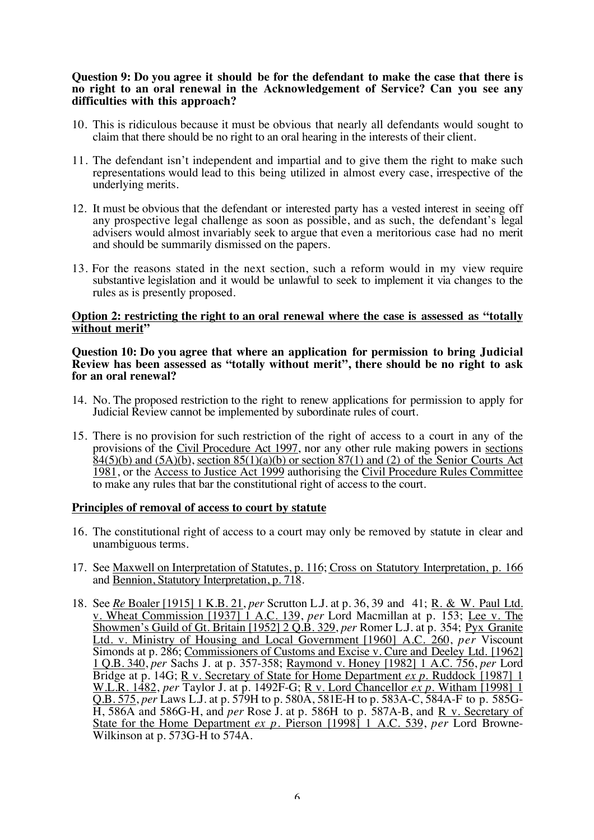#### **Question 9: Do you agree it should be for the defendant to make the case that there is no right to an oral renewal in the Acknowledgement of Service? Can you see any difficulties with this approach?**

- 10. This is ridiculous because it must be obvious that nearly all defendants would sought to claim that there should be no right to an oral hearing in the interests of their client.
- 11. The defendant isn't independent and impartial and to give them the right to make such representations would lead to this being utilized in almost every case, irrespective of the underlying merits.
- 12. It must be obvious that the defendant or interested party has a vested interest in seeing off any prospective legal challenge as soon as possible, and as such, the defendant's legal advisers would almost invariably seek to argue that even a meritorious case had no merit and should be summarily dismissed on the papers.
- 13. For the reasons stated in the next section, such a reform would in my view require substantive legislation and it would be unlawful to seek to implement it via changes to the rules as is presently proposed.

#### **Option 2: restricting the right to an oral renewal where the case is assessed as "totally without merit"**

#### **Question 10: Do you agree that where an application for permission to bring Judicial Review has been assessed as "totally without merit", there should be no right to ask for an oral renewal?**

- 14. No. The proposed restriction to the right to renew applications for permission to apply for Judicial Review cannot be implemented by subordinate rules of court.
- 15. There is no provision for such restriction of the right of access to a court in any of the provisions of the Civil Procedure Act 1997, nor any other rule making powers in sections  $84(5)(b)$  and  $(5A)(b)$ , section  $85(1)(a)(b)$  or section  $87(1)$  and (2) of the Senior Courts Act 1981, or the Access to Justice Act 1999 authorising the Civil Procedure Rules Committee to make any rules that bar the constitutional right of access to the court.

## **Principles of removal of access to court by statute**

- 16. The constitutional right of access to a court may only be removed by statute in clear and unambiguous terms.
- 17. See Maxwell on Interpretation of Statutes, p. 116; Cross on Statutory Interpretation, p. 166 and Bennion, Statutory Interpretation, p. 718.
- 18. See *Re* Boaler [1915] 1 K.B. 21, *per* Scrutton L.J. at p. 36, 39 and 41; R. & W. Paul Ltd. v. Wheat Commission [1937] 1 A.C. 139, *per* Lord Macmillan at p. 153; Lee v. The Showmen's Guild of Gt. Britain [1952] 2 Q.B. 329, *per* Romer L.J. at p. 354; Pyx Granite Ltd. v. Ministry of Housing and Local Government [1960] A.C. 260, *per* Viscount Simonds at p. 286; Commissioners of Customs and Excise v. Cure and Deeley Ltd. [1962] 1 Q.B. 340, *per* Sachs J. at p. 357-358; Raymond v. Honey [1982] 1 A.C. 756, *per* Lord Bridge at p. 14G; R v. Secretary of State for Home Department *ex p*. Ruddock [1987] 1 W.L.R. 1482, *per* Taylor J. at p. 1492F-G; R v. Lord Chancellor *ex p.* Witham [1998] 1 Q.B. 575, *per* Laws L.J. at p. 579H to p. 580A, 581E-H to p. 583A-C, 584A-F to p. 585G-H, 586A and 586G-H, and *per* Rose J. at p. 586H to p. 587A-B, and R v. Secretary of State for the Home Department *ex p.* Pierson [1998] 1 A.C. 539, *per* Lord Browne-Wilkinson at p. 573G-H to 574A.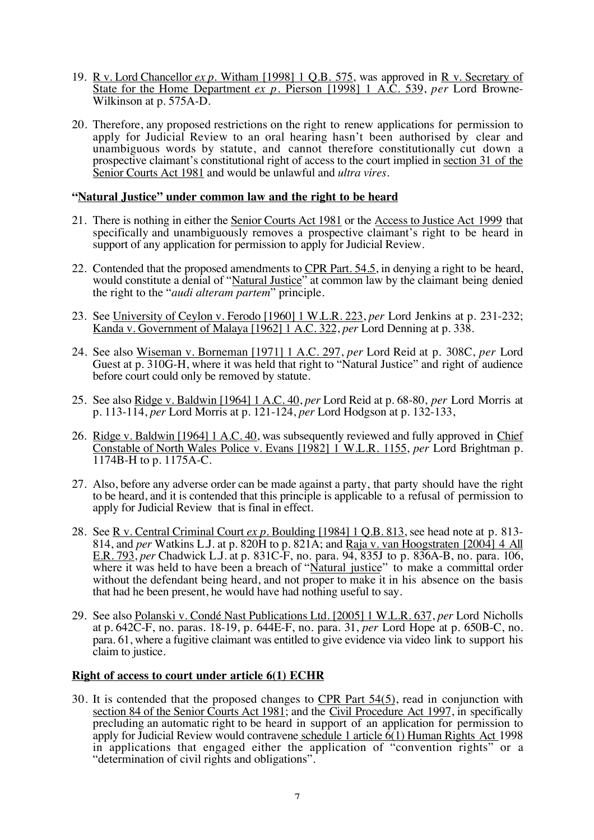- 19. R v. Lord Chancellor *ex p.* Witham [1998] 1 Q.B. 575, was approved in R v. Secretary of State for the Home Department *ex p.* Pierson [1998] 1 A.C. 539, *per* Lord Browne-Wilkinson at p. 575A-D.
- 20. Therefore, any proposed restrictions on the right to renew applications for permission to apply for Judicial Review to an oral hearing hasn't been authorised by clear and unambiguous words by statute, and cannot therefore constitutionally cut down a prospective claimant's constitutional right of access to the court implied in section 31 of the Senior Courts Act 1981 and would be unlawful and *ultra vires*.

## **"Natural Justice" under common law and the right to be heard**

- 21. There is nothing in either the Senior Courts Act 1981 or the Access to Justice Act 1999 that specifically and unambiguously removes a prospective claimant's right to be heard in support of any application for permission to apply for Judicial Review.
- 22. Contended that the proposed amendments to CPR Part. 54.5, in denying a right to be heard, would constitute a denial of "Natural Justice" at common law by the claimant being denied the right to the "*audi alteram partem*" principle.
- 23. See University of Ceylon v. Ferodo [1960] 1 W.L.R. 223, *per* Lord Jenkins at p. 231-232; Kanda v. Government of Malaya [1962] 1 A.C. 322, *per* Lord Denning at p. 338.
- 24. See also Wiseman v. Borneman [1971] 1 A.C. 297, *per* Lord Reid at p. 308C, *per* Lord Guest at p. 310G-H, where it was held that right to "Natural Justice" and right of audience before court could only be removed by statute.
- 25. See also Ridge v. Baldwin [1964] 1 A.C. 40, *per* Lord Reid at p. 68-80, *per* Lord Morris at p. 113-114, *per* Lord Morris at p. 121-124, *per* Lord Hodgson at p. 132-133,
- 26. Ridge v. Baldwin [1964] 1 A.C. 40, was subsequently reviewed and fully approved in Chief Constable of North Wales Police v. Evans [1982] 1 W.L.R. 1155, *per* Lord Brightman p. 1174B-H to p. 1175A-C.
- 27. Also, before any adverse order can be made against a party, that party should have the right to be heard, and it is contended that this principle is applicable to a refusal of permission to apply for Judicial Review that is final in effect.
- 28. See R v. Central Criminal Court *ex p.* Boulding [1984] 1 Q.B. 813, see head note at p. 813- 814, and *per* Watkins L.J. at p. 820H to p. 821A; and Raja v. van Hoogstraten [2004] 4 All E.R. 793, *per* Chadwick L.J. at p. 831C-F, no. para. 94, 835J to p. 836A-B, no. para. 106, where it was held to have been a breach of "Natural justice" to make a committal order without the defendant being heard, and not proper to make it in his absence on the basis that had he been present, he would have had nothing useful to say.
- 29. See also Polanski v. Condé Nast Publications Ltd. [2005] 1 W.L.R. 637, *per* Lord Nicholls at p. 642C-F, no. paras. 18-19, p. 644E-F, no. para. 31, *per* Lord Hope at p. 650B-C, no. para. 61, where a fugitive claimant was entitled to give evidence via video link to support his claim to justice.

#### **Right of access to court under article 6(1) ECHR**

30. It is contended that the proposed changes to  $CPR$  Part  $54(5)$ , read in conjunction with section 84 of the Senior Courts Act 1981; and the Civil Procedure Act 1997, in specifically precluding an automatic right to be heard in support of an application for permission to apply for Judicial Review would contravene schedule 1 article 6(1) Human Rights Act 1998 in applications that engaged either the application of "convention rights" or a "determination of civil rights and obligations".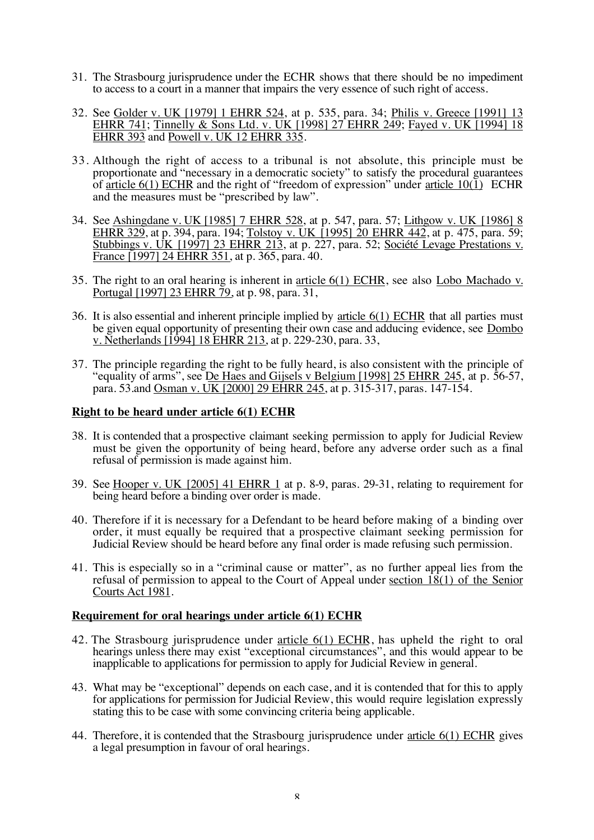- 31. The Strasbourg jurisprudence under the ECHR shows that there should be no impediment to access to a court in a manner that impairs the very essence of such right of access.
- 32. See Golder v. UK [1979] 1 EHRR 524, at p. 535, para. 34; Philis v. Greece [1991] 13 EHRR 741; Tinnelly & Sons Ltd. v. UK [1998] 27 EHRR 249; Fayed v. UK [1994] 18 EHRR 393 and Powell v. UK 12 EHRR 335.
- 33. Although the right of access to a tribunal is not absolute, this principle must be proportionate and "necessary in a democratic society" to satisfy the procedural guarantees of article  $6(1)$  ECHR and the right of "freedom of expression" under article  $10(1)$  ECHR and the measures must be "prescribed by law".
- 34. See Ashingdane v. UK [1985] 7 EHRR 528, at p. 547, para. 57; Lithgow v. UK [1986] 8 EHRR 329, at p. 394, para. 194; Tolstoy v. UK [1995] 20 EHRR 442, at p. 475, para. 59; Stubbings v. UK [1997] 23 EHRR 213, at p. 227, para. 52; Société Levage Prestations v. France [1997] 24 EHRR 351, at p. 365, para. 40.
- 35. The right to an oral hearing is inherent in article 6(1) ECHR, see also Lobo Machado v. Portugal [1997] 23 EHRR 79, at p. 98, para. 31,
- 36. It is also essential and inherent principle implied by article 6(1) ECHR that all parties must be given equal opportunity of presenting their own case and adducing evidence, see Dombo v. Netherlands [1994] 18 EHRR 213, at p. 229-230, para. 33,
- 37. The principle regarding the right to be fully heard, is also consistent with the principle of "equality of arms", see De Haes and Gijsels v Belgium [1998] 25 EHRR 245, at p. 56-57, para. 53.and Osman v. UK [2000] 29 EHRR 245, at p. 315-317, paras. 147-154.

## **Right to be heard under article 6(1) ECHR**

- 38. It is contended that a prospective claimant seeking permission to apply for Judicial Review must be given the opportunity of being heard, before any adverse order such as a final refusal of permission is made against him.
- 39. See Hooper v. UK [2005] 41 EHRR 1 at p. 8-9, paras. 29-31, relating to requirement for being heard before a binding over order is made.
- 40. Therefore if it is necessary for a Defendant to be heard before making of a binding over order, it must equally be required that a prospective claimant seeking permission for Judicial Review should be heard before any final order is made refusing such permission.
- 41. This is especially so in a "criminal cause or matter", as no further appeal lies from the refusal of permission to appeal to the Court of Appeal under section 18(1) of the Senior Courts Act 1981.

#### **Requirement for oral hearings under article 6(1) ECHR**

- 42. The Strasbourg jurisprudence under article 6(1) ECHR, has upheld the right to oral hearings unless there may exist "exceptional circumstances", and this would appear to be inapplicable to applications for permission to apply for Judicial Review in general.
- 43. What may be "exceptional" depends on each case, and it is contended that for this to apply for applications for permission for Judicial Review, this would require legislation expressly stating this to be case with some convincing criteria being applicable.
- 44. Therefore, it is contended that the Strasbourg jurisprudence under article 6(1) ECHR gives a legal presumption in favour of oral hearings.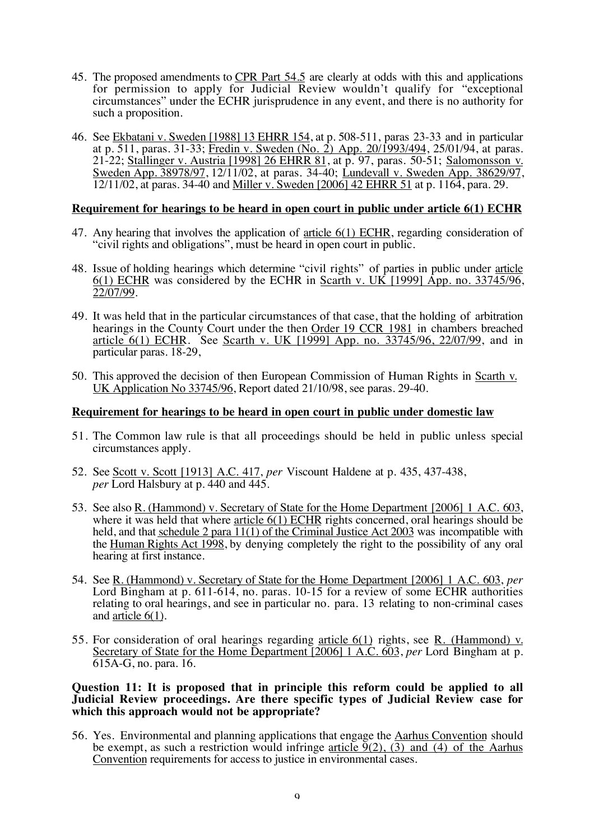- 45. The proposed amendments to CPR Part 54.5 are clearly at odds with this and applications for permission to apply for Judicial Review wouldn't qualify for "exceptional" circumstances" under the ECHR jurisprudence in any event, and there is no authority for such a proposition.
- 46. See Ekbatani v. Sweden [1988] 13 EHRR 154, at p. 508-511, paras 23-33 and in particular at p. 511, paras. 31-33; Fredin v. Sweden (No. 2) App. 20/1993/494, 25/01/94, at paras. 21-22; Stallinger v. Austria [1998] 26 EHRR 81, at p. 97, paras. 50-51; Salomonsson v. Sweden App. 38978/97, 12/11/02, at paras. 34-40; Lundevall v. Sweden App. 38629/97, 12/11/02, at paras. 34-40 and Miller v. Sweden [2006] 42 EHRR 51 at p. 1164, para. 29.

## **Requirement for hearings to be heard in open court in public under article 6(1) ECHR**

- 47. Any hearing that involves the application of article 6(1) ECHR, regarding consideration of "civil rights and obligations", must be heard in open court in public.
- 48. Issue of holding hearings which determine "civil rights" of parties in public under article 6(1) ECHR was considered by the ECHR in Scarth v. UK [1999] App. no. 33745/96, 22/07/99.
- 49. It was held that in the particular circumstances of that case, that the holding of arbitration hearings in the County Court under the then Order 19 CCR 1981 in chambers breached article 6(1) ECHR. See Scarth v. UK [1999] App. no. 33745/96, 22/07/99, and in particular paras. 18-29,
- 50. This approved the decision of then European Commission of Human Rights in Scarth v. UK Application No 33745/96, Report dated 21/10/98, see paras. 29-40.

## **Requirement for hearings to be heard in open court in public under domestic law**

- 51. The Common law rule is that all proceedings should be held in public unless special circumstances apply.
- 52. See Scott v. Scott [1913] A.C. 417, *per* Viscount Haldene at p. 435, 437-438, *per* Lord Halsbury at p. 440 and 445.
- 53. See also R. (Hammond) v. Secretary of State for the Home Department [2006] 1 A.C. 603, where it was held that where article 6(1) ECHR rights concerned, oral hearings should be held, and that schedule 2 para 11(1) of the Criminal Justice Act 2003 was incompatible with the Human Rights Act 1998, by denying completely the right to the possibility of any oral hearing at first instance.
- 54. See R. (Hammond) v. Secretary of State for the Home Department [2006] 1 A.C. 603, *per* Lord Bingham at p. 611-614, no. paras. 10-15 for a review of some ECHR authorities relating to oral hearings, and see in particular no. para. 13 relating to non-criminal cases and article 6(1).
- 55. For consideration of oral hearings regarding article 6(1) rights, see R. (Hammond) v. Secretary of State for the Home Department [2006] 1 A.C. 603, *per* Lord Bingham at p. 615A-G, no. para. 16.

#### **Question 11: It is proposed that in principle this reform could be applied to all Judicial Review proceedings. Are there specific types of Judicial Review case for which this approach would not be appropriate?**

56. Yes. Environmental and planning applications that engage the Aarhus Convention should be exempt, as such a restriction would infringe article  $\overline{9}(2)$ , (3) and (4) of the Aarhus Convention requirements for access to justice in environmental cases.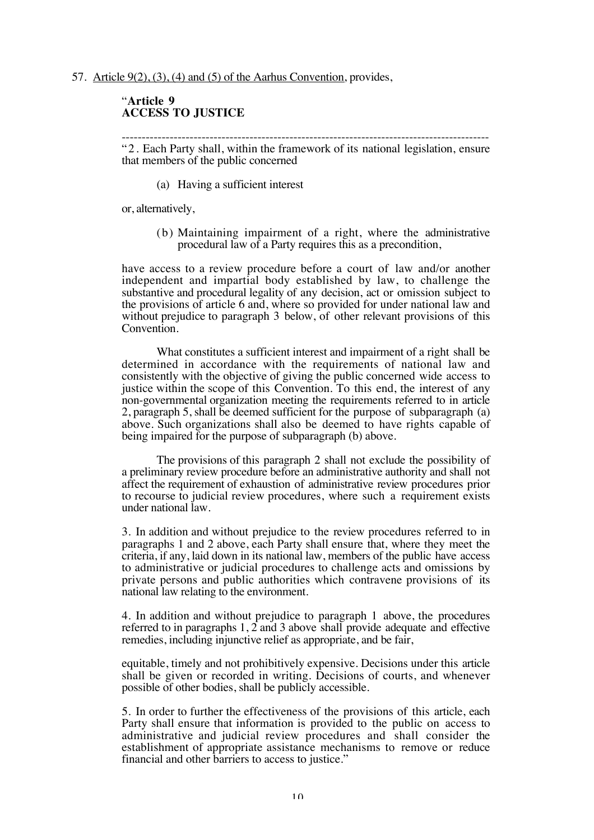#### 57. Article 9(2), (3), (4) and (5) of the Aarhus Convention, provides,

## "**Article 9 ACCESS TO JUSTICE**

-------------------------------------------------------------------------------------------- "2. Each Party shall, within the framework of its national legislation, ensure that members of the public concerned

(a) Having a sufficient interest

or, alternatively,

(b) Maintaining impairment of a right, where the administrative procedural law of a Party requires this as a precondition,

have access to a review procedure before a court of law and/or another independent and impartial body established by law, to challenge the substantive and procedural legality of any decision, act or omission subject to the provisions of article 6 and, where so provided for under national law and without prejudice to paragraph 3 below, of other relevant provisions of this Convention.

What constitutes a sufficient interest and impairment of a right shall be determined in accordance with the requirements of national law and consistently with the objective of giving the public concerned wide access to justice within the scope of this Convention. To this end, the interest of any non-governmental organization meeting the requirements referred to in article 2, paragraph 5, shall be deemed sufficient for the purpose of subparagraph (a) above. Such organizations shall also be deemed to have rights capable of being impaired for the purpose of subparagraph (b) above.

The provisions of this paragraph 2 shall not exclude the possibility of a preliminary review procedure before an administrative authority and shall not affect the requirement of exhaustion of administrative review procedures prior to recourse to judicial review procedures, where such a requirement exists under national law.

3. In addition and without prejudice to the review procedures referred to in paragraphs 1 and 2 above, each Party shall ensure that, where they meet the criteria, if any, laid down in its national law, members of the public have access to administrative or judicial procedures to challenge acts and omissions by private persons and public authorities which contravene provisions of its national law relating to the environment.

4. In addition and without prejudice to paragraph 1 above, the procedures referred to in paragraphs 1, 2 and 3 above shall provide adequate and effective remedies, including injunctive relief as appropriate, and be fair,

equitable, timely and not prohibitively expensive. Decisions under this article shall be given or recorded in writing. Decisions of courts, and whenever possible of other bodies, shall be publicly accessible.

5. In order to further the effectiveness of the provisions of this article, each Party shall ensure that information is provided to the public on access to administrative and judicial review procedures and shall consider the establishment of appropriate assistance mechanisms to remove or reduce financial and other barriers to access to justice."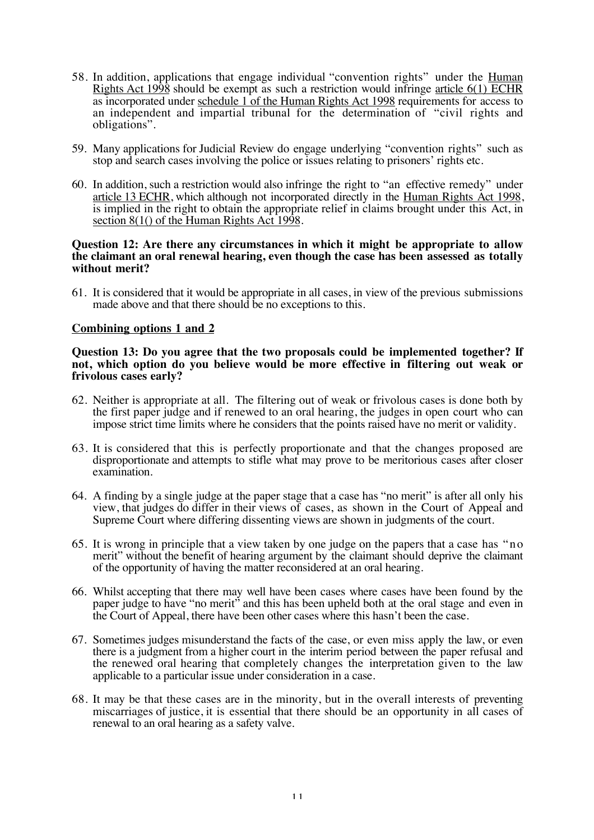- 58. In addition, applications that engage individual "convention rights" under the Human Rights Act 1998 should be exempt as such a restriction would infringe article 6(1) ECHR as incorporated under schedule 1 of the Human Rights Act 1998 requirements for access to an independent and impartial tribunal for the determination of "civil rights and obligations".
- 59. Many applications for Judicial Review do engage underlying "convention rights" such as stop and search cases involving the police or issues relating to prisoners' rights etc.
- 60. In addition, such a restriction would also infringe the right to "an effective remedy" under article 13 ECHR, which although not incorporated directly in the Human Rights Act 1998, is implied in the right to obtain the appropriate relief in claims brought under this Act, in section 8(1() of the Human Rights Act 1998.

#### **Question 12: Are there any circumstances in which it might be appropriate to allow the claimant an oral renewal hearing, even though the case has been assessed as totally without merit?**

61. It is considered that it would be appropriate in all cases, in view of the previous submissions made above and that there should be no exceptions to this.

## **Combining options 1 and 2**

#### **Question 13: Do you agree that the two proposals could be implemented together? If not, which option do you believe would be more effective in filtering out weak or frivolous cases early?**

- 62. Neither is appropriate at all. The filtering out of weak or frivolous cases is done both by the first paper judge and if renewed to an oral hearing, the judges in open court who can impose strict time limits where he considers that the points raised have no merit or validity.
- 63. It is considered that this is perfectly proportionate and that the changes proposed are disproportionate and attempts to stifle what may prove to be meritorious cases after closer examination.
- 64. A finding by a single judge at the paper stage that a case has "no merit" is after all only his view, that judges do differ in their views of cases, as shown in the Court of Appeal and Supreme Court where differing dissenting views are shown in judgments of the court.
- 65. It is wrong in principle that a view taken by one judge on the papers that a case has "no merit" without the benefit of hearing argument by the claimant should deprive the claimant of the opportunity of having the matter reconsidered at an oral hearing.
- 66. Whilst accepting that there may well have been cases where cases have been found by the paper judge to have "no merit" and this has been upheld both at the oral stage and even in the Court of Appeal, there have been other cases where this hasn't been the case.
- 67. Sometimes judges misunderstand the facts of the case, or even miss apply the law, or even there is a judgment from a higher court in the interim period between the paper refusal and the renewed oral hearing that completely changes the interpretation given to the law applicable to a particular issue under consideration in a case.
- 68. It may be that these cases are in the minority, but in the overall interests of preventing miscarriages of justice, it is essential that there should be an opportunity in all cases of renewal to an oral hearing as a safety valve.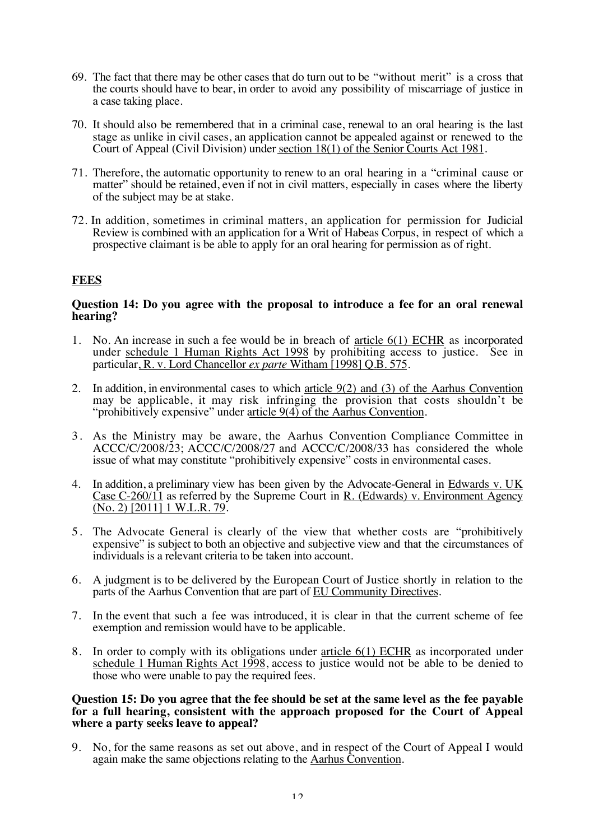- 69. The fact that there may be other cases that do turn out to be "without merit" is a cross that the courts should have to bear, in order to avoid any possibility of miscarriage of justice in a case taking place.
- 70. It should also be remembered that in a criminal case, renewal to an oral hearing is the last stage as unlike in civil cases, an application cannot be appealed against or renewed to the Court of Appeal (Civil Division) under section 18(1) of the Senior Courts Act 1981.
- 71. Therefore, the automatic opportunity to renew to an oral hearing in a "criminal cause or matter" should be retained, even if not in civil matters, especially in cases where the liberty of the subject may be at stake.
- 72. In addition, sometimes in criminal matters, an application for permission for Judicial Review is combined with an application for a Writ of Habeas Corpus, in respect of which a prospective claimant is be able to apply for an oral hearing for permission as of right.

# **FEES**

## **Question 14: Do you agree with the proposal to introduce a fee for an oral renewal hearing?**

- 1. No. An increase in such a fee would be in breach of article 6(1) ECHR as incorporated under schedule 1 Human Rights Act 1998 by prohibiting access to justice. See in particular, R. v. Lord Chancellor *ex parte* Witham [1998] Q.B. 575.
- 2. In addition, in environmental cases to which article 9(2) and (3) of the Aarhus Convention may be applicable, it may risk infringing the provision that costs shouldn't be "prohibitively expensive" under article 9(4) of the Aarhus Convention.
- 3. As the Ministry may be aware, the Aarhus Convention Compliance Committee in ACCC/C/2008/23; ACCC/C/2008/27 and ACCC/C/2008/33 has considered the whole issue of what may constitute "prohibitively expensive" costs in environmental cases.
- 4. In addition, a preliminary view has been given by the Advocate-General in Edwards v. UK Case C-260/11 as referred by the Supreme Court in R. (Edwards) v. Environment Agency  $(No. 2)$  [2011] 1 W.L.R. 79.
- 5. The Advocate General is clearly of the view that whether costs are "prohibitively expensive" is subject to both an objective and subjective view and that the circumstances of individuals is a relevant criteria to be taken into account.
- 6. A judgment is to be delivered by the European Court of Justice shortly in relation to the parts of the Aarhus Convention that are part of EU Community Directives.
- 7. In the event that such a fee was introduced, it is clear in that the current scheme of fee exemption and remission would have to be applicable.
- 8. In order to comply with its obligations under article 6(1) ECHR as incorporated under schedule 1 Human Rights Act 1998, access to justice would not be able to be denied to those who were unable to pay the required fees.

#### **Question 15: Do you agree that the fee should be set at the same level as the fee payable for a full hearing, consistent with the approach proposed for the Court of Appeal where a party seeks leave to appeal?**

9. No, for the same reasons as set out above, and in respect of the Court of Appeal I would again make the same objections relating to the Aarhus Convention.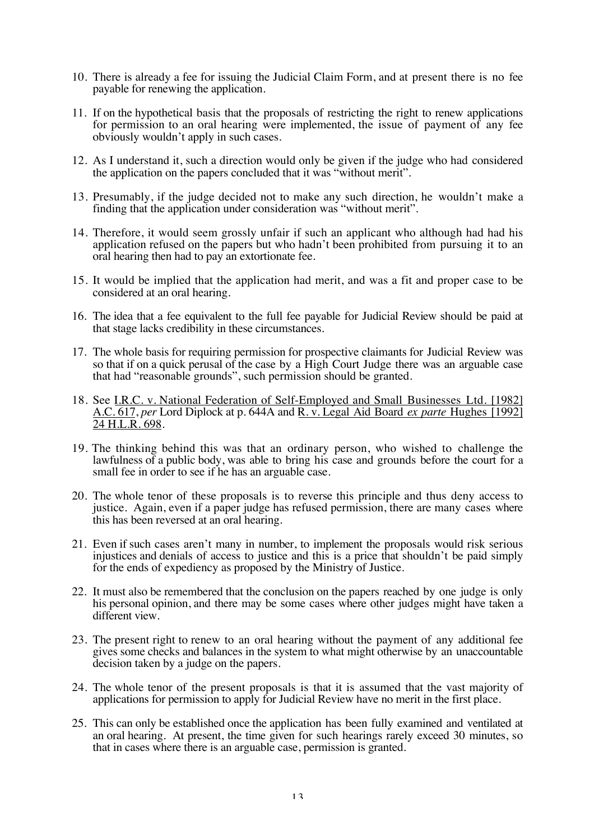- 10. There is already a fee for issuing the Judicial Claim Form, and at present there is no fee payable for renewing the application.
- 11. If on the hypothetical basis that the proposals of restricting the right to renew applications for permission to an oral hearing were implemented, the issue of payment of any fee obviously wouldn't apply in such cases.
- 12. As I understand it, such a direction would only be given if the judge who had considered the application on the papers concluded that it was "without merit".
- 13. Presumably, if the judge decided not to make any such direction, he wouldn't make a finding that the application under consideration was "without merit".
- 14. Therefore, it would seem grossly unfair if such an applicant who although had had his application refused on the papers but who hadn't been prohibited from pursuing it to an oral hearing then had to pay an extortionate fee.
- 15. It would be implied that the application had merit, and was a fit and proper case to be considered at an oral hearing.
- 16. The idea that a fee equivalent to the full fee payable for Judicial Review should be paid at that stage lacks credibility in these circumstances.
- 17. The whole basis for requiring permission for prospective claimants for Judicial Review was so that if on a quick perusal of the case by a High Court Judge there was an arguable case that had "reasonable grounds", such permission should be granted.
- 18. See I.R.C. v. National Federation of Self-Employed and Small Businesses Ltd. [1982] A.C. 617, *per* Lord Diplock at p. 644A and R. v. Legal Aid Board *ex parte* Hughes [1992] 24 H.L.R. 698.
- 19. The thinking behind this was that an ordinary person, who wished to challenge the lawfulness of a public body, was able to bring his case and grounds before the court for a small fee in order to see if he has an arguable case.
- 20. The whole tenor of these proposals is to reverse this principle and thus deny access to justice. Again, even if a paper judge has refused permission, there are many cases where this has been reversed at an oral hearing.
- 21. Even if such cases aren't many in number, to implement the proposals would risk serious injustices and denials of access to justice and this is a price that shouldn't be paid simply for the ends of expediency as proposed by the Ministry of Justice.
- 22. It must also be remembered that the conclusion on the papers reached by one judge is only his personal opinion, and there may be some cases where other judges might have taken a different view.
- 23. The present right to renew to an oral hearing without the payment of any additional fee gives some checks and balances in the system to what might otherwise by an unaccountable decision taken by a judge on the papers.
- 24. The whole tenor of the present proposals is that it is assumed that the vast majority of applications for permission to apply for Judicial Review have no merit in the first place.
- 25. This can only be established once the application has been fully examined and ventilated at an oral hearing. At present, the time given for such hearings rarely exceed 30 minutes, so that in cases where there is an arguable case, permission is granted.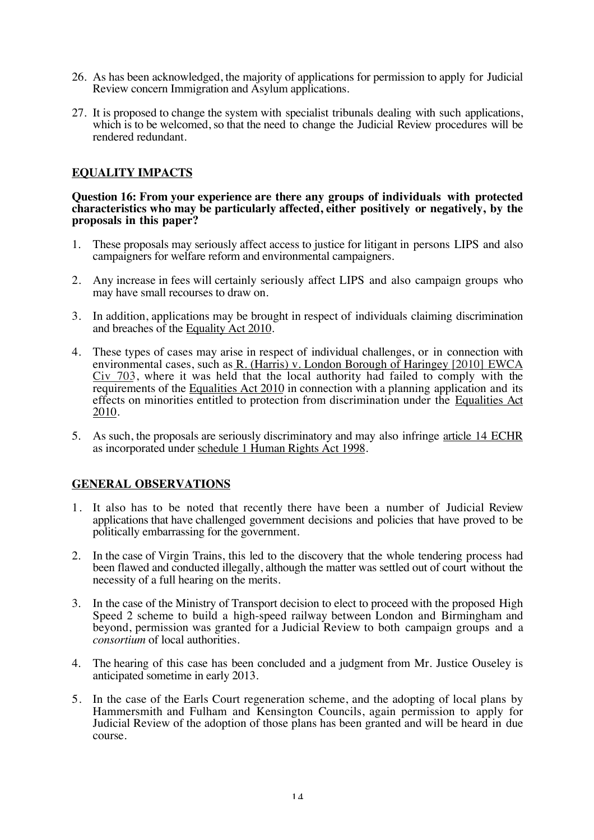- 26. As has been acknowledged, the majority of applications for permission to apply for Judicial Review concern Immigration and Asylum applications.
- 27. It is proposed to change the system with specialist tribunals dealing with such applications, which is to be welcomed, so that the need to change the Judicial Review procedures will be rendered redundant.

## **EQUALITY IMPACTS**

#### **Question 16: From your experience are there any groups of individuals with protected characteristics who may be particularly affected, either positively or negatively, by the proposals in this paper?**

- 1. These proposals may seriously affect access to justice for litigant in persons LIPS and also campaigners for welfare reform and environmental campaigners.
- 2. Any increase in fees will certainly seriously affect LIPS and also campaign groups who may have small recourses to draw on.
- 3. In addition, applications may be brought in respect of individuals claiming discrimination and breaches of the Equality Act 2010.
- 4. These types of cases may arise in respect of individual challenges, or in connection with environmental cases, such as  $R$ . (Harris) v. London Borough of Haringey [2010] EWCA Civ 703, where it was held that the local authority had failed to comply with the requirements of the Equalities Act 2010 in connection with a planning application and its effects on minorities entitled to protection from discrimination under the Equalities Act 2010.
- 5. As such, the proposals are seriously discriminatory and may also infringe article 14 ECHR as incorporated under schedule 1 Human Rights Act 1998.

## **GENERAL OBSERVATIONS**

- 1. It also has to be noted that recently there have been a number of Judicial Review applications that have challenged government decisions and policies that have proved to be politically embarrassing for the government.
- 2. In the case of Virgin Trains, this led to the discovery that the whole tendering process had been flawed and conducted illegally, although the matter was settled out of court without the necessity of a full hearing on the merits.
- 3. In the case of the Ministry of Transport decision to elect to proceed with the proposed High Speed 2 scheme to build a high-speed railway between London and Birmingham and beyond, permission was granted for a Judicial Review to both campaign groups and a *consortium* of local authorities.
- 4. The hearing of this case has been concluded and a judgment from Mr. Justice Ouseley is anticipated sometime in early 2013.
- 5. In the case of the Earls Court regeneration scheme, and the adopting of local plans by Hammersmith and Fulham and Kensington Councils, again permission to apply for Judicial Review of the adoption of those plans has been granted and will be heard in due course.